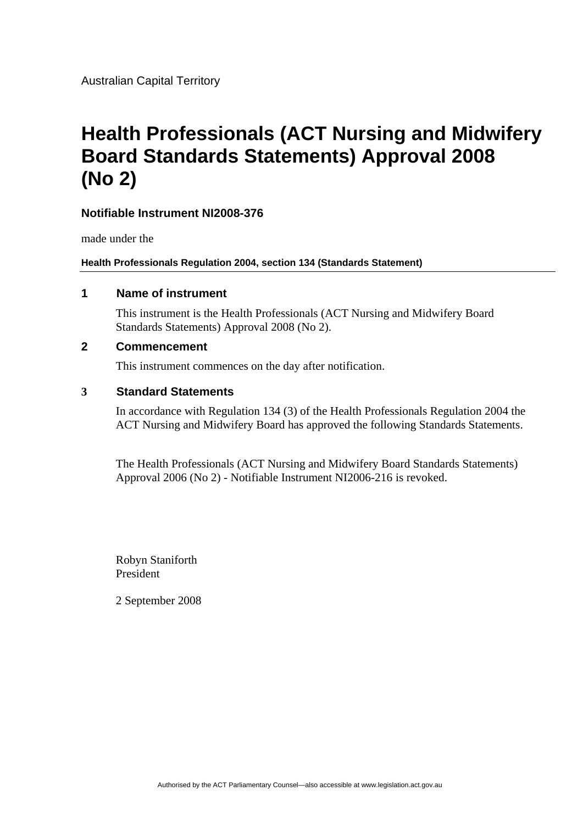Australian Capital Territory

# **Health Professionals (ACT Nursing and Midwifery Board Standards Statements) Approval 2008 (No 2)**

#### **Notifiable Instrument NI2008-376**

made under the

**Health Professionals Regulation 2004, section 134 (Standards Statement)**

#### **1 Name of instrument**

This instrument is the Health Professionals (ACT Nursing and Midwifery Board Standards Statements) Approval 2008 (No 2).

#### **2 Commencement**

This instrument commences on the day after notification.

#### **3 Standard Statements**

In accordance with Regulation 134 (3) of the Health Professionals Regulation 2004 the ACT Nursing and Midwifery Board has approved the following Standards Statements.

The Health Professionals (ACT Nursing and Midwifery Board Standards Statements) Approval 2006 (No 2) - Notifiable Instrument NI2006-216 is revoked.

Robyn Staniforth President

2 September 2008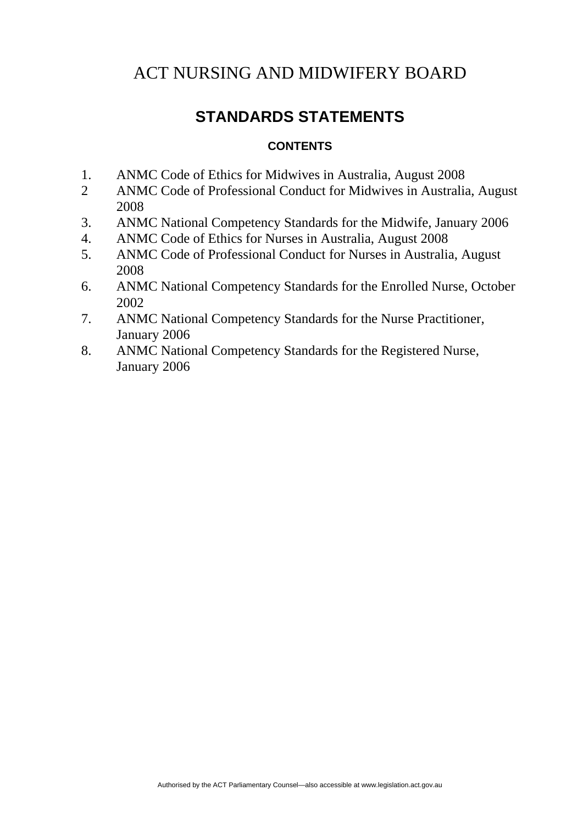# **STANDARDS STATEMENTS**

#### **CONTENTS**

- 1. ANMC Code of Ethics for Midwives in Australia, August 2008
- 2 ANMC Code of Professional Conduct for Midwives in Australia, August 2008
- 3. ANMC National Competency Standards for the Midwife, January 2006
- 4. ANMC Code of Ethics for Nurses in Australia, August 2008
- 5. ANMC Code of Professional Conduct for Nurses in Australia, August 2008
- 6. ANMC National Competency Standards for the Enrolled Nurse, October 2002
- 7. ANMC National Competency Standards for the Nurse Practitioner, January 2006
- 8. ANMC National Competency Standards for the Registered Nurse, January 2006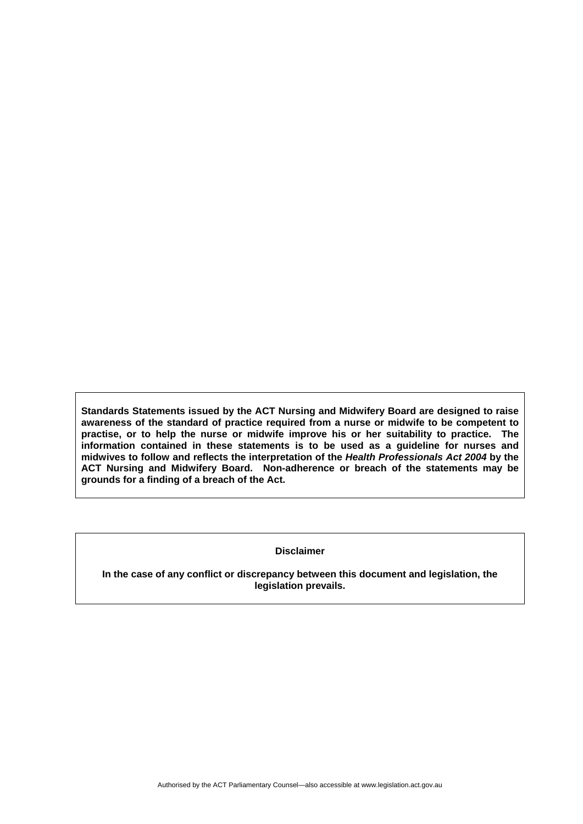**Standards Statements issued by the ACT Nursing and Midwifery Board are designed to raise awareness of the standard of practice required from a nurse or midwife to be competent to practise, or to help the nurse or midwife improve his or her suitability to practice. The information contained in these statements is to be used as a guideline for nurses and midwives to follow and reflects the interpretation of the** *Health Professionals Act 2004* **by the ACT Nursing and Midwifery Board. Non-adherence or breach of the statements may be grounds for a finding of a breach of the Act.** 

#### **Disclaimer**

**In the case of any conflict or discrepancy between this document and legislation, the legislation prevails.**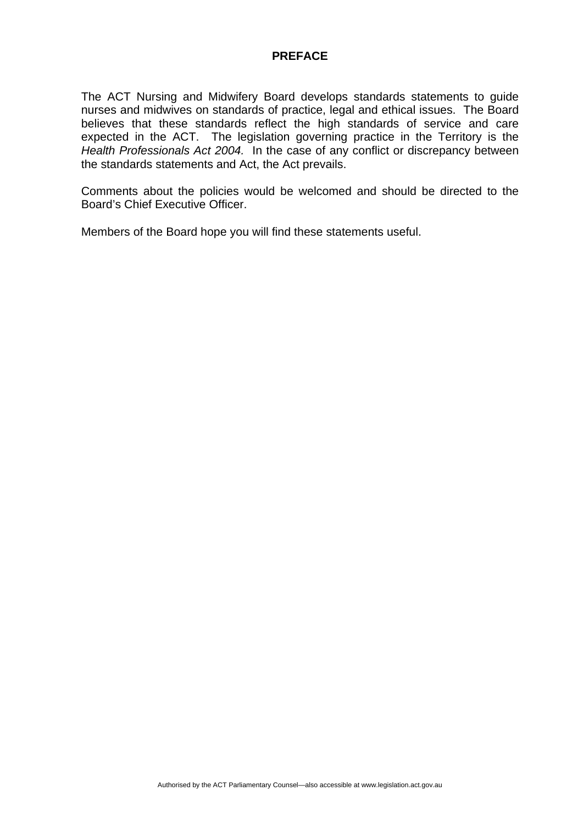The ACT Nursing and Midwifery Board develops standards statements to guide nurses and midwives on standards of practice, legal and ethical issues. The Board believes that these standards reflect the high standards of service and care expected in the ACT. The legislation governing practice in the Territory is the *Health Professionals Act 2004.* In the case of any conflict or discrepancy between the standards statements and Act, the Act prevails.

Comments about the policies would be welcomed and should be directed to the Board's Chief Executive Officer.

Members of the Board hope you will find these statements useful.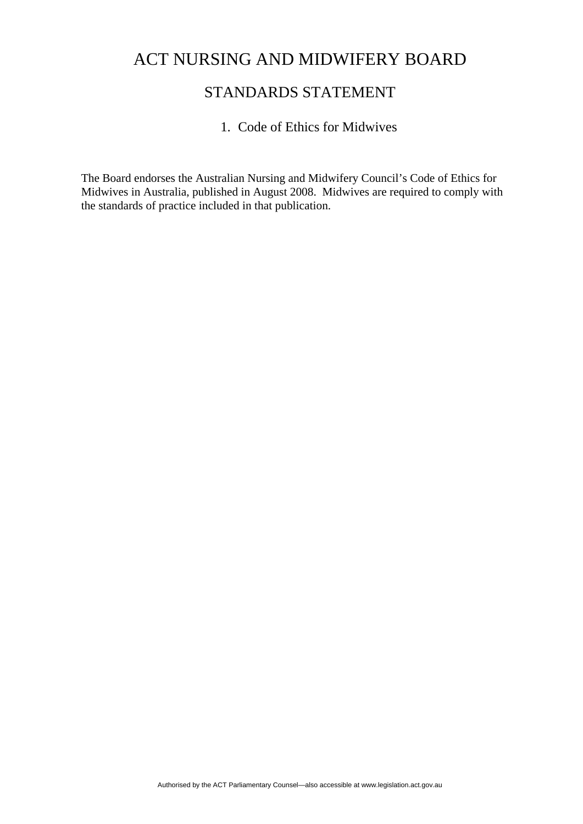### STANDARDS STATEMENT

#### 1. Code of Ethics for Midwives

The Board endorses the Australian Nursing and Midwifery Council's Code of Ethics for Midwives in Australia, published in August 2008. Midwives are required to comply with the standards of practice included in that publication.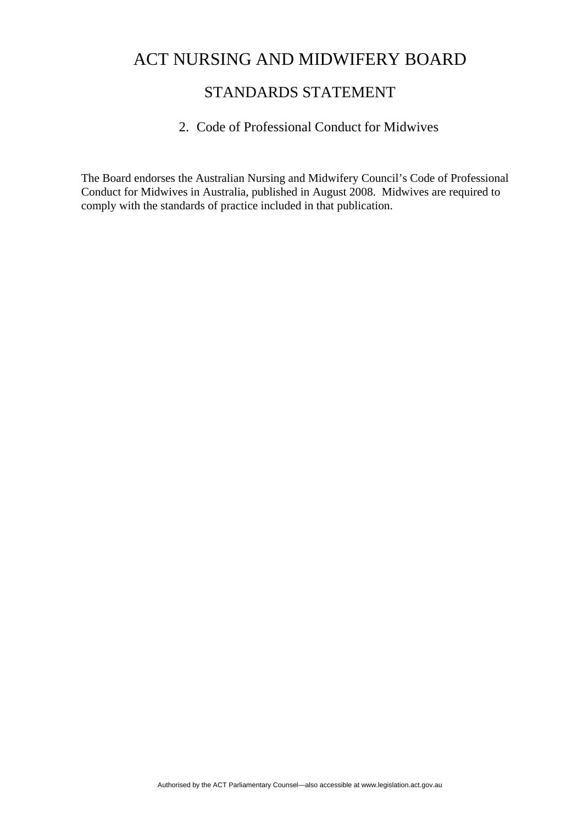### STANDARDS STATEMENT

#### 2. Code of Professional Conduct for Midwives

The Board endorses the Australian Nursing and Midwifery Council's Code of Professional Conduct for Midwives in Australia, published in August 2008. Midwives are required to comply with the standards of practice included in that publication.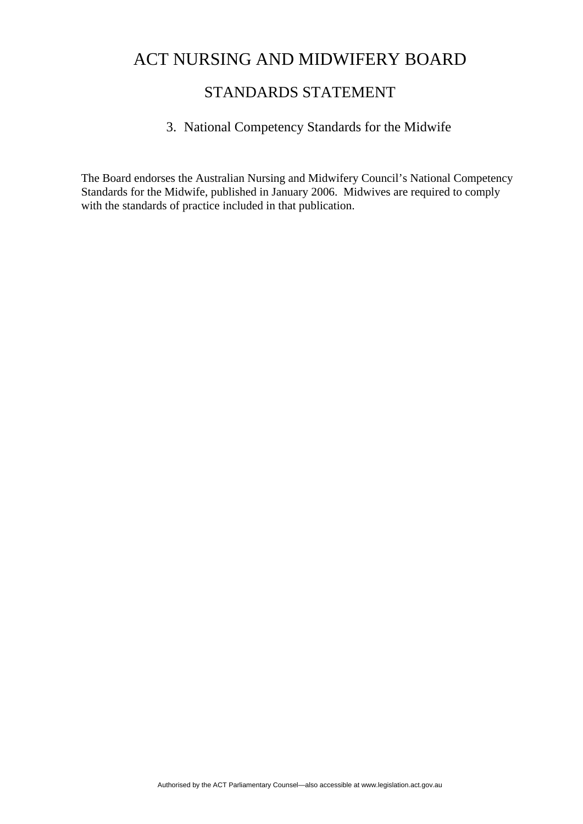### STANDARDS STATEMENT

### 3. National Competency Standards for the Midwife

The Board endorses the Australian Nursing and Midwifery Council's National Competency Standards for the Midwife, published in January 2006. Midwives are required to comply with the standards of practice included in that publication.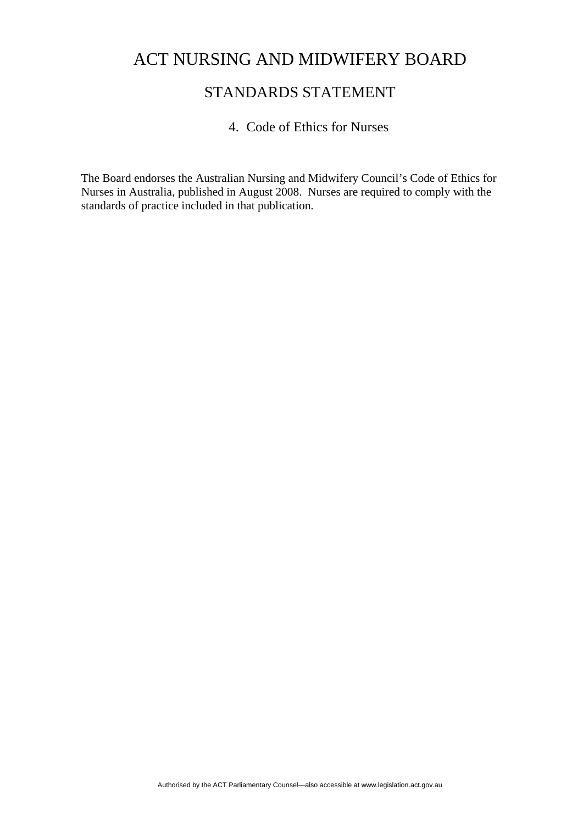### STANDARDS STATEMENT

#### 4. Code of Ethics for Nurses

The Board endorses the Australian Nursing and Midwifery Council's Code of Ethics for Nurses in Australia, published in August 2008. Nurses are required to comply with the standards of practice included in that publication.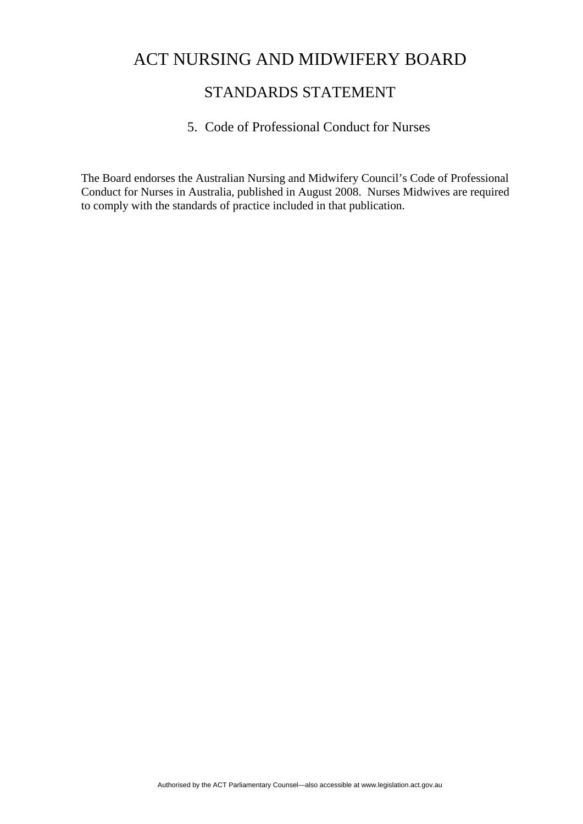### STANDARDS STATEMENT

#### 5. Code of Professional Conduct for Nurses

The Board endorses the Australian Nursing and Midwifery Council's Code of Professional Conduct for Nurses in Australia, published in August 2008. Nurses Midwives are required to comply with the standards of practice included in that publication.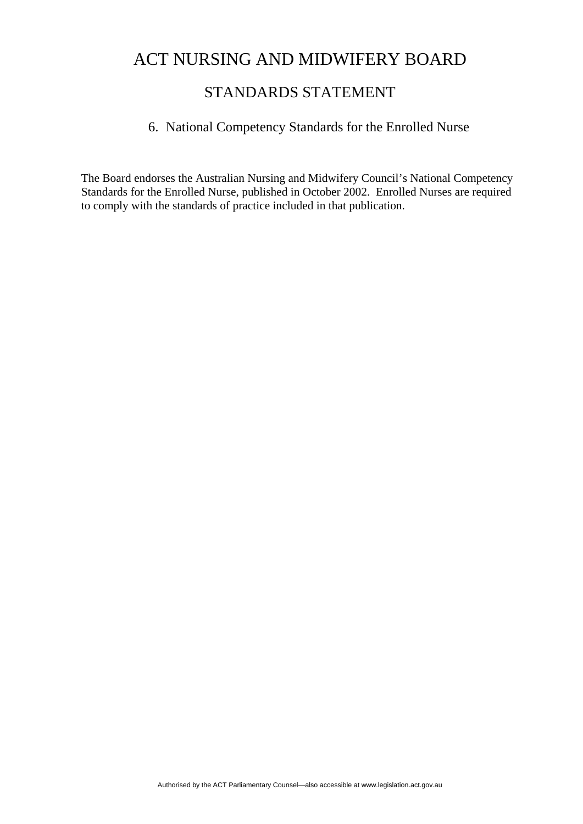### STANDARDS STATEMENT

#### 6. National Competency Standards for the Enrolled Nurse

The Board endorses the Australian Nursing and Midwifery Council's National Competency Standards for the Enrolled Nurse, published in October 2002. Enrolled Nurses are required to comply with the standards of practice included in that publication.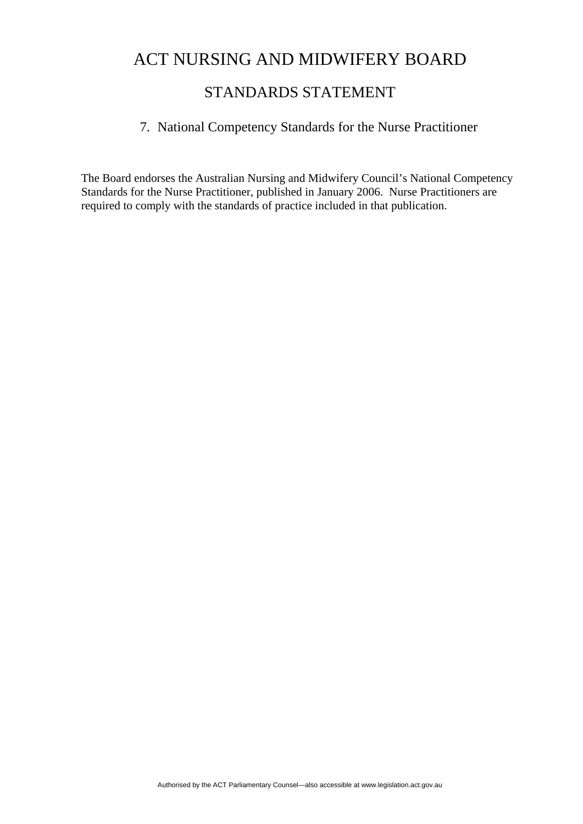### STANDARDS STATEMENT

#### 7. National Competency Standards for the Nurse Practitioner

The Board endorses the Australian Nursing and Midwifery Council's National Competency Standards for the Nurse Practitioner, published in January 2006. Nurse Practitioners are required to comply with the standards of practice included in that publication.